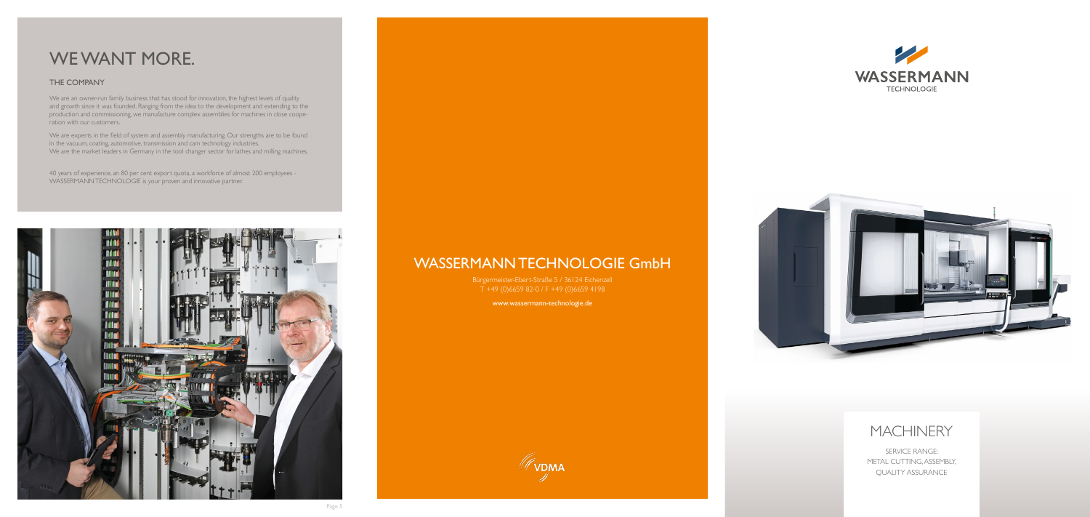## WASSERMANN TECHNOLOGIE GmbH

Bürgermeister-Ebert-Straße 5 / 36124 Eichenzell T +49 (0)6659 82-0 / F +49 (0)6659 4198

www.wassermann-technologie.de



# WE WANT MORE.

### THE COMPANY

We are an owner-run family business that has stood for innovation, the highest levels of quality and growth since it was founded. Ranging from the idea to the development and extending to the production and commissioning, we manufacture complex assemblies for machines in close cooperation with our customers.

We are experts in the field of system and assembly manufacturing. Our strengths are to be found in the vacuum, coating, automotive, transmission and cam technology industries. We are the market leaders in Germany in the tool changer sector for lathes and milling machines.

40 years of experience, an 80 per cent export quota, a workforce of almost 200 employees - WASSERMANN TECHNOLOGIE is your proven and innovative partner.







## MACHINERY

SERVICE RANGE: METAL CUTTING, ASSEMBLY, QUALITY ASSURANCE